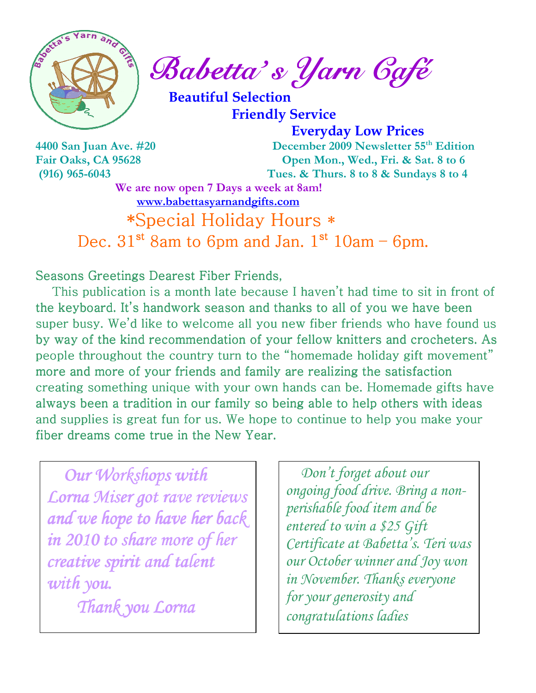

Sabetta's Yarn Gafé

 Beautiful Selection Friendly Service

 Everyday Low Prices 4400 San Juan Ave. #20 December 2009 Newsletter 55th Edition Fair Oaks, CA 95628 Open Mon., Wed., Fri. & Sat. 8 to 6 (916) 965-6043 Tues. & Thurs. 8 to 8 & Sundays 8 to 4

We are now open 7 Days a week at 8am! www.babettasyarnandgifts.com

\*Special Holiday Hours \* Dec.  $31<sup>st</sup>$  8am to 6pm and Jan.  $1<sup>st</sup>$  10am – 6pm.

Seasons Greetings Dearest Fiber Friends,

This publication is a month late because I haven't had time to sit in front of the keyboard. It's handwork season and thanks to all of you we have been super busy. We'd like to welcome all you new fiber friends who have found us by way of the kind recommendation of your fellow knitters and crocheters. As people throughout the country turn to the "homemade holiday gift movement" more and more of your friends and family are realizing the satisfaction creating something unique with your own hands can be. Homemade gifts have always been a tradition in our family so being able to help others with ideas and supplies is great fun for us. We hope to continue to help you make your fiber dreams come true in the New Year.

 Our Workshops with Lorna Miser got rave reviews and we hope to have her back in 2010 to share more of her creative spirit and talent  $with$  you.

Thank you Lorna

 Don't forget about our ongoing food drive. Bring a nonperishable food item and be entered to win a \$25 Gift Certificate at Babetta's. Teri was our October winner and Joy won in November. Thanks everyone for your generosity and congratulations ladies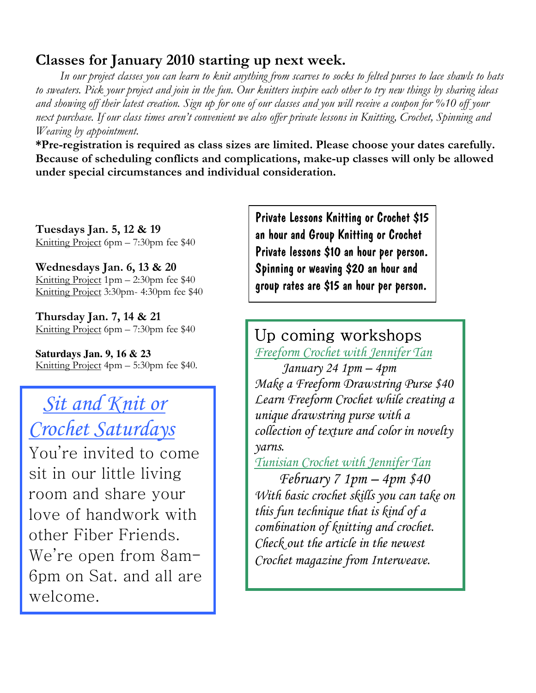## Classes for January 2010 starting up next week.

 In our project classes you can learn to knit anything from scarves to socks to felted purses to lace shawls to hats to sweaters. Pick your project and join in the fun. Our knitters inspire each other to try new things by sharing ideas and showing off their latest creation. Sign up for one of our classes and you will receive a coupon for %10 off your next purchase. If our class times aren't convenient we also offer private lessons in Knitting, Crochet, Spinning and Weaving by appointment.

\*Pre-registration is required as class sizes are limited. Please choose your dates carefully. Because of scheduling conflicts and complications, make-up classes will only be allowed under special circumstances and individual consideration.

Tuesdays Jan. 5, 12 & 19 Knitting Project 6pm – 7:30pm fee \$40

Wednesdays Jan. 6, 13 & 20 Knitting Project 1pm – 2:30pm fee \$40 Knitting Project 3:30pm- 4:30pm fee \$40

Thursday Jan. 7, 14 & 21 Knitting Project 6pm – 7:30pm fee \$40

**Saturdays Jan. 9, 16 & 23**  Knitting Project 4pm – 5:30pm fee \$40.

## Sit and Knit or Crochet Saturdays

You're invited to come sit in our little living room and share your love of handwork with other Fiber Friends. We're open from 8am-6pm on Sat. and all are welcome.

Private Lessons Knitting or Crochet \$15 an hour and Group Knitting or Crochet Private lessons \$10 an hour per person. Spinning or weaving \$20 an hour and group rates are \$15 an hour per person.

## Up coming workshops Freeform Crochet with Jennifer Tan

 January 24 1pm – 4pm Make a Freeform Drawstring Purse \$40 Learn Freeform Crochet while creating a unique drawstring purse with a collection of texture and color in novelty yarns.

Tunisian Crochet with Jennifer Tan

 February 7 1pm – 4pm \$40 With basic crochet skills you can take on this fun technique that is kind of a combination of knitting and crochet. Check out the article in the newest Crochet magazine from Interweave.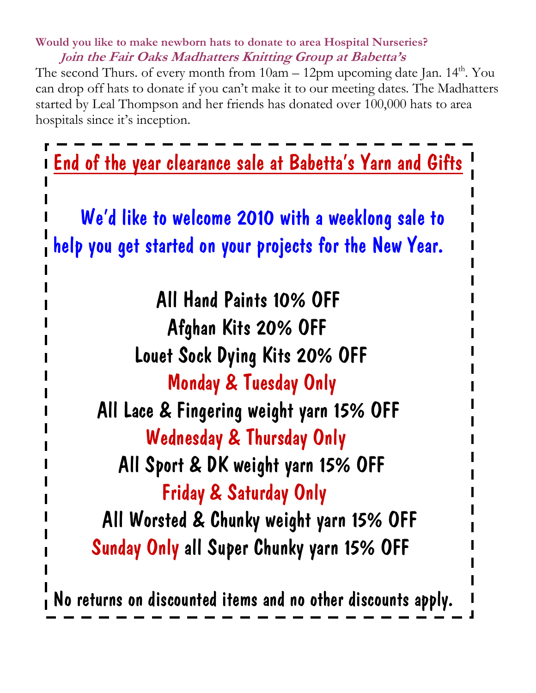## Would you like to make newborn hats to donate to area Hospital Nurseries? Join the Fair Oaks Madhatters Knitting Group at Babetta's

The second Thurs. of every month from  $10am - 12pm$  upcoming date Jan.  $14<sup>th</sup>$ . You can drop off hats to donate if you can't make it to our meeting dates. The Madhatters started by Leal Thompson and her friends has donated over 100,000 hats to area hospitals since it's inception.



No returns on discounted items and no other discounts apply.